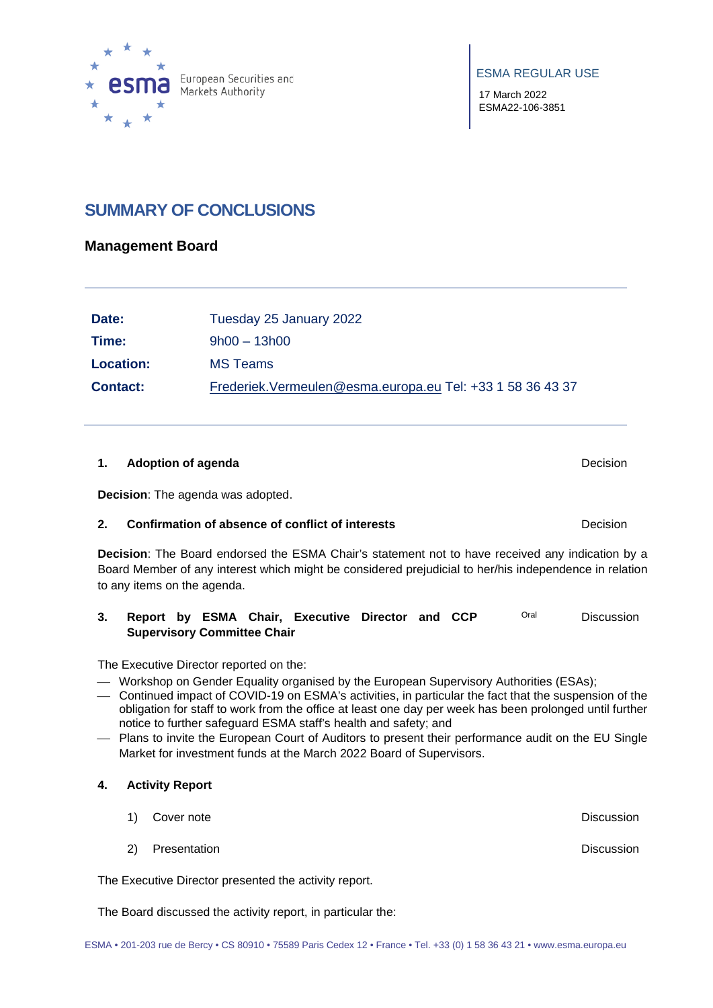

ESMA REGULAR USE

17 March 2022 ESMA22-106-3851

## **SUMMARY OF CONCLUSIONS**

## **Management Board**

| Date:            | Tuesday 25 January 2022                                      |
|------------------|--------------------------------------------------------------|
| Time:            | $9h00 - 13h00$                                               |
| <b>Location:</b> | <b>MS Teams</b>                                              |
| <b>Contact:</b>  | Frederiek. Vermeulen@esma. europa. eu Tel: +33 1 58 36 43 37 |

### **1. Adoption of agenda** Decision

**Decision**: The agenda was adopted.

### **2. Confirmation of absence of conflict of interests <b>Decision** Decision

**Decision**: The Board endorsed the ESMA Chair's statement not to have received any indication by a Board Member of any interest which might be considered prejudicial to her/his independence in relation to any items on the agenda.

#### **3. Report by ESMA Chair, Executive Director and CCP Supervisory Committee Chair**  Oral Discussion

The Executive Director reported on the:

- Workshop on Gender Equality organised by the European Supervisory Authorities (ESAs);
- Continued impact of COVID-19 on ESMA's activities, in particular the fact that the suspension of the obligation for staff to work from the office at least one day per week has been prolonged until further notice to further safeguard ESMA staff's health and safety; and
- Plans to invite the European Court of Auditors to present their performance audit on the EU Single Market for investment funds at the March 2022 Board of Supervisors.

### **4. Activity Report**

- 1) Cover note **Discussion**
- 2) Presentation Discussion

The Executive Director presented the activity report.

The Board discussed the activity report, in particular the: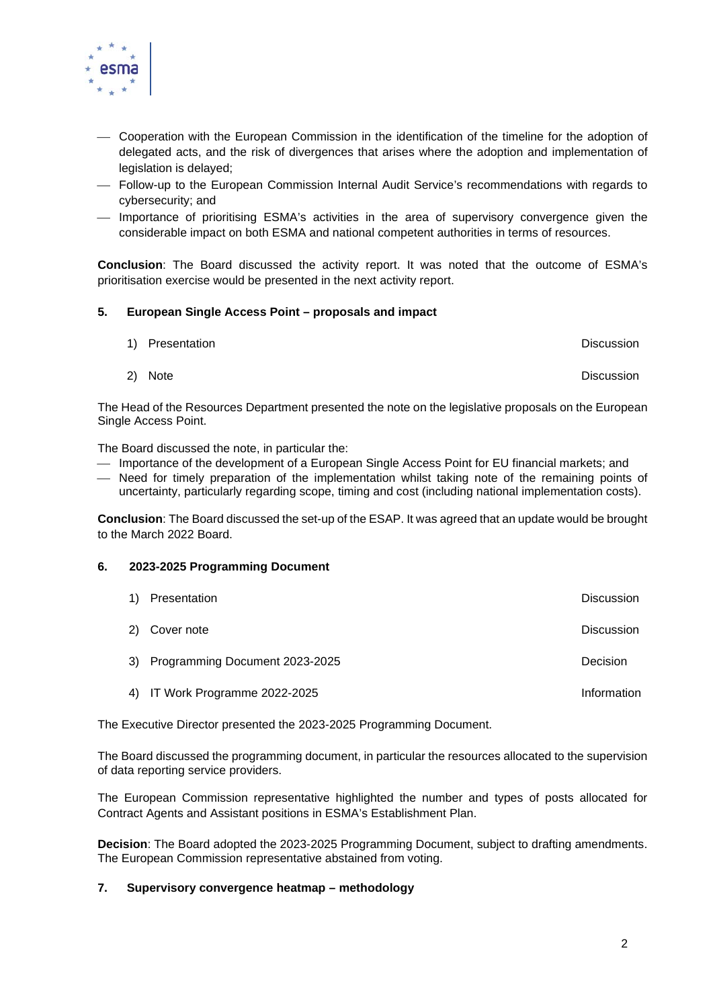

- Cooperation with the European Commission in the identification of the timeline for the adoption of delegated acts, and the risk of divergences that arises where the adoption and implementation of legislation is delayed;
- Follow-up to the European Commission Internal Audit Service's recommendations with regards to cybersecurity; and
- Importance of prioritising ESMA's activities in the area of supervisory convergence given the considerable impact on both ESMA and national competent authorities in terms of resources.

**Conclusion**: The Board discussed the activity report. It was noted that the outcome of ESMA's prioritisation exercise would be presented in the next activity report.

### **5. European Single Access Point – proposals and impact**

| 1) Presentation | Discussion |
|-----------------|------------|
|                 |            |

2) Note Discussion

The Head of the Resources Department presented the note on the legislative proposals on the European Single Access Point.

The Board discussed the note, in particular the:

- Importance of the development of a European Single Access Point for EU financial markets; and
- Need for timely preparation of the implementation whilst taking note of the remaining points of uncertainty, particularly regarding scope, timing and cost (including national implementation costs).

**Conclusion**: The Board discussed the set-up of the ESAP. It was agreed that an update would be brought to the March 2022 Board.

### **6. 2023-2025 Programming Document**

| 1) | Presentation                      | <b>Discussion</b> |
|----|-----------------------------------|-------------------|
|    | 2) Cover note                     | <b>Discussion</b> |
|    | 3) Programming Document 2023-2025 | Decision          |
|    | 4) IT Work Programme 2022-2025    | Information       |

The Executive Director presented the 2023-2025 Programming Document.

The Board discussed the programming document, in particular the resources allocated to the supervision of data reporting service providers.

The European Commission representative highlighted the number and types of posts allocated for Contract Agents and Assistant positions in ESMA's Establishment Plan.

**Decision**: The Board adopted the 2023-2025 Programming Document, subject to drafting amendments. The European Commission representative abstained from voting.

### **7. Supervisory convergence heatmap – methodology**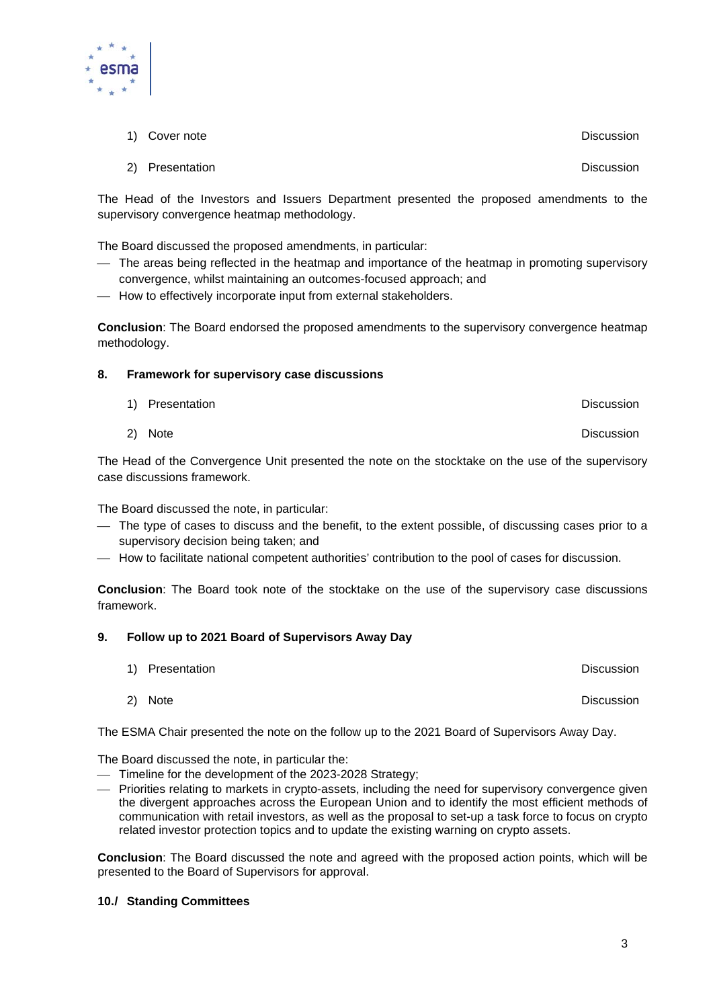- 1) Cover note **Discussion**
- 2) Presentation **Discussion Discussion**

The Head of the Investors and Issuers Department presented the proposed amendments to the supervisory convergence heatmap methodology.

The Board discussed the proposed amendments, in particular:

- The areas being reflected in the heatmap and importance of the heatmap in promoting supervisory convergence, whilst maintaining an outcomes-focused approach; and
- $-$  How to effectively incorporate input from external stakeholders.

**Conclusion**: The Board endorsed the proposed amendments to the supervisory convergence heatmap methodology.

### **8. Framework for supervisory case discussions**

| 1) Presentation | <b>Discussion</b> |
|-----------------|-------------------|
|                 |                   |

2) Note Discussion

The Head of the Convergence Unit presented the note on the stocktake on the use of the supervisory case discussions framework.

The Board discussed the note, in particular:

- The type of cases to discuss and the benefit, to the extent possible, of discussing cases prior to a supervisory decision being taken; and
- How to facilitate national competent authorities' contribution to the pool of cases for discussion.

**Conclusion**: The Board took note of the stocktake on the use of the supervisory case discussions framework.

#### **9. Follow up to 2021 Board of Supervisors Away Day**

- 1) Presentation Discussion
	- 2) Note Discussion

The ESMA Chair presented the note on the follow up to the 2021 Board of Supervisors Away Day.

The Board discussed the note, in particular the:

- Timeline for the development of the 2023-2028 Strategy;
- Priorities relating to markets in crypto-assets, including the need for supervisory convergence given the divergent approaches across the European Union and to identify the most efficient methods of communication with retail investors, as well as the proposal to set-up a task force to focus on crypto related investor protection topics and to update the existing warning on crypto assets.

**Conclusion**: The Board discussed the note and agreed with the proposed action points, which will be presented to the Board of Supervisors for approval.

#### **10./ Standing Committees**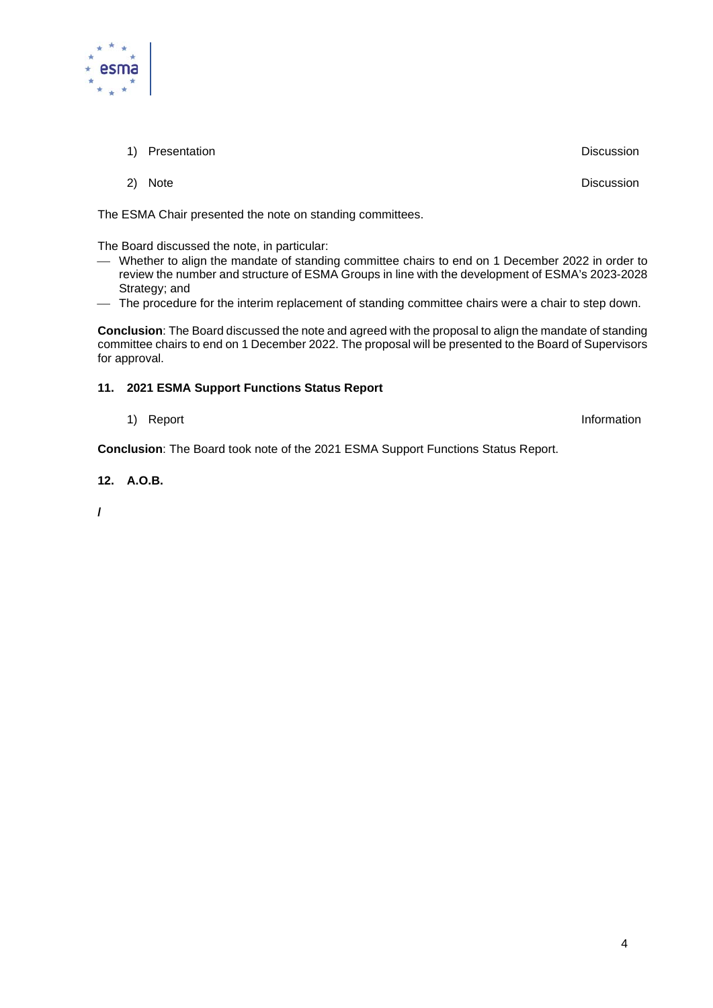

1) Presentation **Discussion** Discussion

2) Note Discussion

The ESMA Chair presented the note on standing committees.

The Board discussed the note, in particular:

- Whether to align the mandate of standing committee chairs to end on 1 December 2022 in order to review the number and structure of ESMA Groups in line with the development of ESMA's 2023-2028 Strategy; and
- The procedure for the interim replacement of standing committee chairs were a chair to step down.

**Conclusion**: The Board discussed the note and agreed with the proposal to align the mandate of standing committee chairs to end on 1 December 2022. The proposal will be presented to the Board of Supervisors for approval.

## **11. 2021 ESMA Support Functions Status Report**

1) Report and the contract of the contract of the contract of the contract of the contract of the contract of the contract of the contract of the contract of the contract of the contract of the contract of the contract of

**Conclusion**: The Board took note of the 2021 ESMA Support Functions Status Report.

**12. A.O.B.** 

**/**

4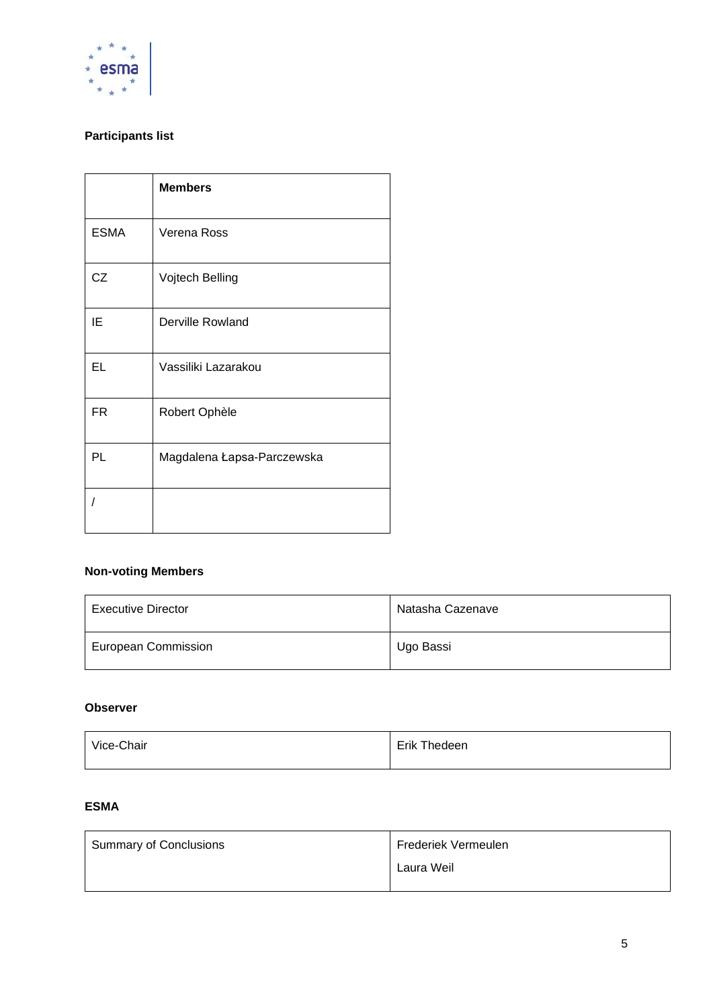

## **Participants list**

|             | <b>Members</b>             |
|-------------|----------------------------|
| <b>ESMA</b> | Verena Ross                |
| CZ          | Vojtech Belling            |
| ΙE          | Derville Rowland           |
| EL          | Vassiliki Lazarakou        |
| <b>FR</b>   | Robert Ophèle              |
| PL          | Magdalena Łapsa-Parczewska |
|             |                            |

## **Non-voting Members**

| Executive Director         | Natasha Cazenave |
|----------------------------|------------------|
| <b>European Commission</b> | Ugo Bassi        |

### **Observer**

| Vice-Chair | Erik Thedeen |
|------------|--------------|
|            |              |

## **ESMA**

| Summary of Conclusions | Frederiek Vermeulen |
|------------------------|---------------------|
|                        | Laura Weil          |
|                        |                     |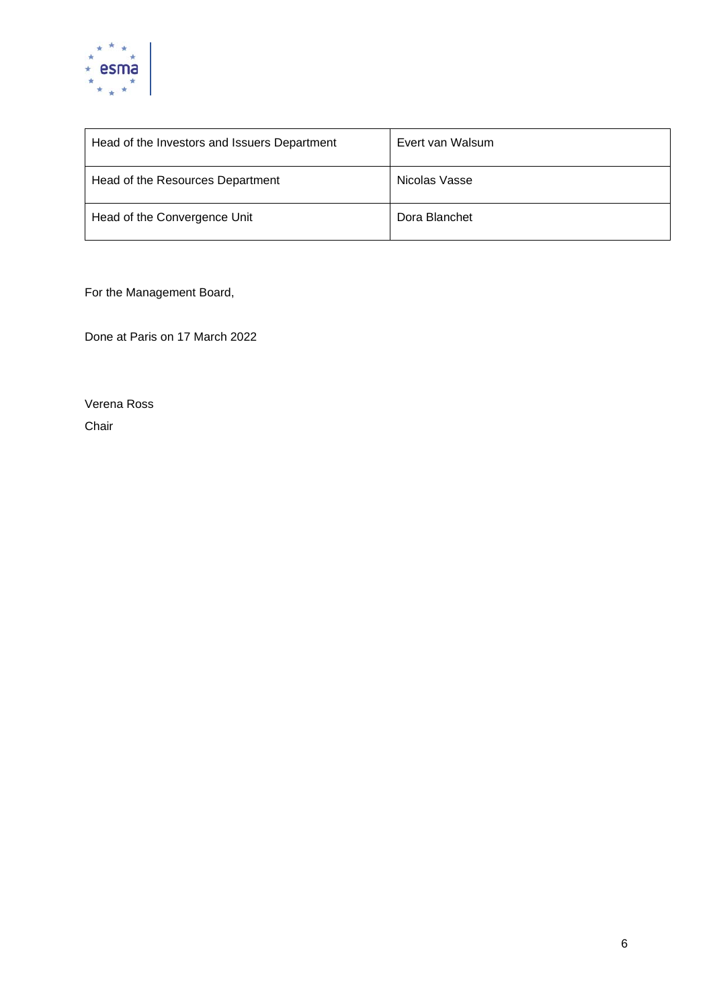

| Head of the Investors and Issuers Department | Evert van Walsum |
|----------------------------------------------|------------------|
| Head of the Resources Department             | Nicolas Vasse    |
| Head of the Convergence Unit                 | Dora Blanchet    |

For the Management Board,

Done at Paris on 17 March 2022

Verena Ross Chair